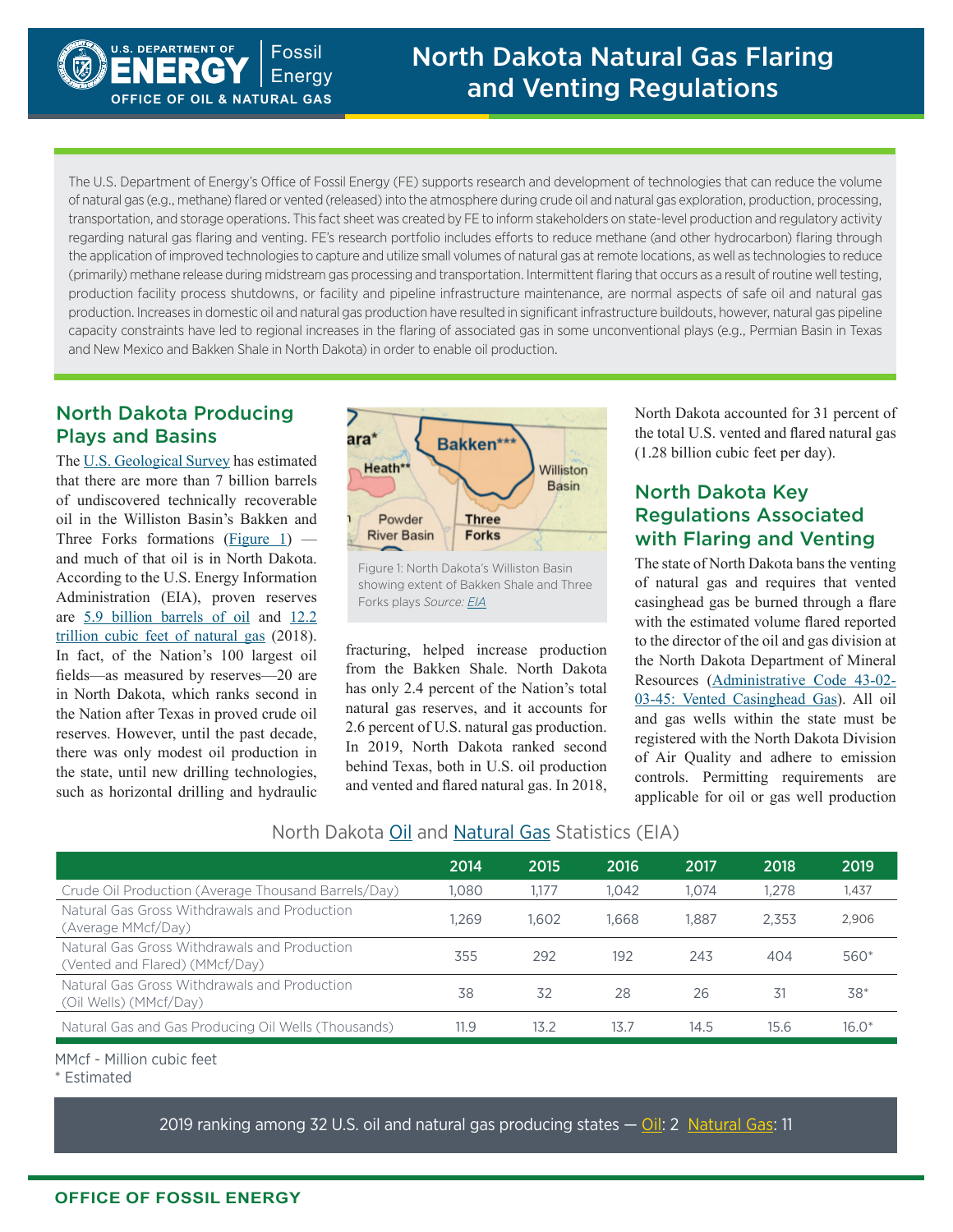

# North Dakota Natural Gas Flaring **AND INCOLUME** I CHEIST **CONSTRUSSION CONSTRUSSION CONSTRUSSION**

The U.S. Department of Energy's Office of Fossil Energy (FE) supports research and development of technologies that can reduce the volume of natural gas (e.g., methane) flared or vented (released) into the atmosphere during crude oil and natural gas exploration, production, processing, transportation, and storage operations. This fact sheet was created by FE to inform stakeholders on state-level production and regulatory activity regarding natural gas flaring and venting. FE's research portfolio includes efforts to reduce methane (and other hydrocarbon) flaring through the application of improved technologies to capture and utilize small volumes of natural gas at remote locations, as well as technologies to reduce (primarily) methane release during midstream gas processing and transportation. Intermittent flaring that occurs as a result of routine well testing, production facility process shutdowns, or facility and pipeline infrastructure maintenance, are normal aspects of safe oil and natural gas production. Increases in domestic oil and natural gas production have resulted in significant infrastructure buildouts, however, natural gas pipeline capacity constraints have led to regional increases in the flaring of associated gas in some unconventional plays (e.g., Permian Basin in Texas and New Mexico and Bakken Shale in North Dakota) in order to enable oil production.

### North Dakota Producing Plays and Basins

The [U.S. Geological Survey](https://energy.usgs.gov/GeneralInfo/EnergyNewsroomAll/TabId/770/ArtMID/3941/ArticleID/985/Bakken-and-New-Three-Forks-Oil-and-Gas-Assessment.aspx) has estimated that there are more than 7 billion barrels of undiscovered technically recoverable oil in the Williston Basin's Bakken and Three Forks formations [\(Figure 1](https://www.eia.gov/maps/images/shale_gas_lower48.pdf)) and much of that oil is in North Dakota. According to the U.S. Energy Information Administration (EIA), proven reserves are [5.9 billion barrels of oil](https://www.eia.gov/dnav/ng/ng_enr_cplc_a_EPCCOND_R01_MMbbl_a.htm) and [12.2](https://www.eia.gov/dnav/ng/ng_enr_wals_a_EPG0_R21_Bcf_a.htm)  [trillion cubic feet of natural gas](https://www.eia.gov/dnav/ng/ng_enr_wals_a_EPG0_R21_Bcf_a.htm) (2018). In fact, of the Nation's 100 largest oil fields—as measured by reserves—20 are in North Dakota, which ranks second in the Nation after Texas in proved crude oil reserves. However, until the past decade, there was only modest oil production in the state, until new drilling technologies, such as horizontal drilling and hydraulic



Figure 1: North Dakota's Williston Basin showing extent of Bakken Shale and Three Forks plays *Source: [EIA](https://www.eia.gov/petroleum/drilling/)*

fracturing, helped increase production from the Bakken Shale. North Dakota has only 2.4 percent of the Nation's total natural gas reserves, and it accounts for 2.6 percent of U.S. natural gas production. In 2019, North Dakota ranked second behind Texas, both in U.S. oil production and vented and flared natural gas. In 2018, North Dakota accounted for 31 percent of the total U.S. vented and flared natural gas (1.28 billion cubic feet per day).

### North Dakota Key Regulations Associated with Flaring and Venting

The state of North Dakota bans the venting of natural gas and requires that vented casinghead gas be burned through a flare with the estimated volume flared reported to the director of the oil and gas division at the North Dakota Department of Mineral Resources ([Administrative Code 43-02-](https://www.legis.nd.gov/information/acdata/pdf/43-02-03.pdf) [03-45: Vented Casinghead Gas\)](https://www.legis.nd.gov/information/acdata/pdf/43-02-03.pdf). All oil and gas wells within the state must be registered with the North Dakota Division of Air Quality and adhere to emission controls. Permitting requirements are applicable for oil or gas well production

### North Dakota [Oil](https://www.eia.gov/dnav/pet/pet_crd_crpdn_adc_mbbl_a.htm) and [Natural Gas](https://www.eia.gov/dnav/ng/ng_prod_sum_a_EPG0_FGW_mmcf_a.htm) Statistics (EIA)

|                                                                                | 2014  | 2015  | 2016  | 2017  | 2018  | 2019    |
|--------------------------------------------------------------------------------|-------|-------|-------|-------|-------|---------|
| Crude Oil Production (Average Thousand Barrels/Day)                            | 1.080 | 1.177 | 1.042 | 1.074 | 1.278 | 1,437   |
| Natural Gas Gross Withdrawals and Production<br>(Average MMcf/Day)             | 1.269 | 1.602 | 1.668 | 1.887 | 2.353 | 2.906   |
| Natural Gas Gross Withdrawals and Production<br>(Vented and Flared) (MMcf/Day) | 355   | 292   | 192   | 243   | 404   | 560*    |
| Natural Gas Gross Withdrawals and Production<br>(Oil Wells) (MMcf/Day)         | 38    | 32    | 28    | 26    | 31    | 38*     |
| Natural Gas and Gas Producing Oil Wells (Thousands)                            | 11.9  | 13.2  | 13.7  | 14.5  | 15.6  | $16.0*$ |

MMcf - Million cubic feet

\* Estimated

2019 ranking among 32 U.S. oil and natural gas producing states - [Oil](https://www.eia.gov/dnav/pet/pet_crd_crpdn_adc_mbbl_a.htm): 2 [Natural Gas](https://www.eia.gov/dnav/ng/ng_prod_sum_a_EPG0_FGW_mmcf_a.htm): 11